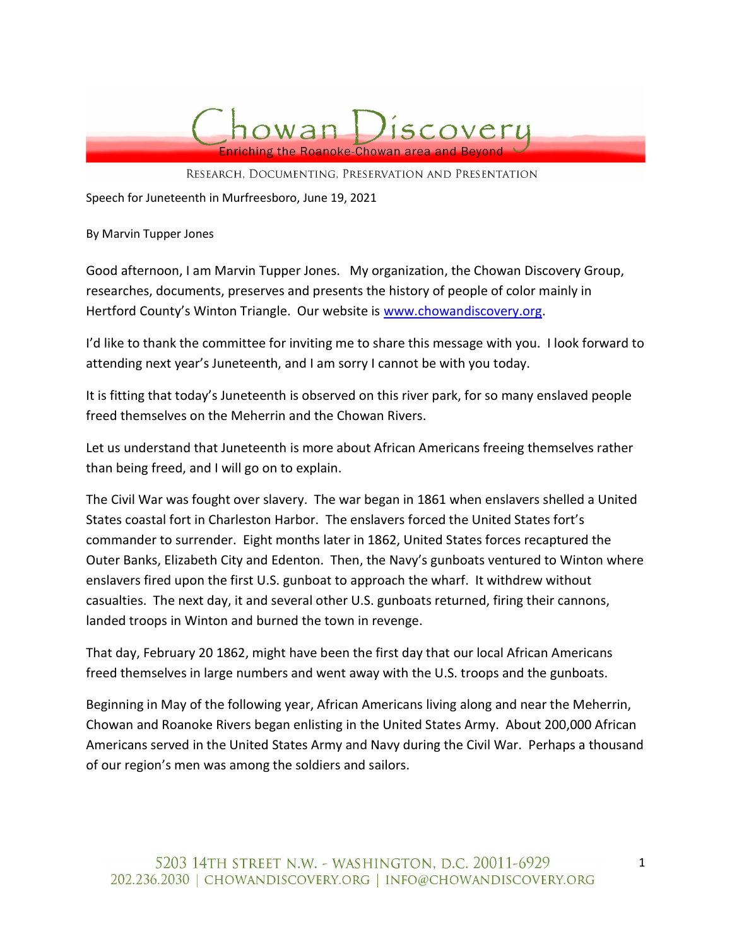

RESEARCH, DOCUMENTING, PRESERVATION AND PRESENTATION

Speech for Juneteenth in Murfreesboro, June 19, 2021

By Marvin Tupper Jones

Good afternoon, I am Marvin Tupper Jones. My organization, the Chowan Discovery Group, researches, documents, preserves and presents the history of people of color mainly in Hertford County's Winton Triangle. Our website is www.chowandiscovery.org.

I'd like to thank the committee for inviting me to share this message with you. I look forward to attending next year's Juneteenth, and I am sorry I cannot be with you today.

It is fitting that today's Juneteenth is observed on this river park, for so many enslaved people freed themselves on the Meherrin and the Chowan Rivers.

Let us understand that Juneteenth is more about African Americans freeing themselves rather than being freed, and I will go on to explain.

The Civil War was fought over slavery. The war began in 1861 when enslavers shelled a United States coastal fort in Charleston Harbor. The enslavers forced the United States fort's commander to surrender. Eight months later in 1862, United States forces recaptured the Outer Banks, Elizabeth City and Edenton. Then, the Navy's gunboats ventured to Winton where enslavers fired upon the first U.S. gunboat to approach the wharf. It withdrew without casualties. The next day, it and several other U.S. gunboats returned, firing their cannons, landed troops in Winton and burned the town in revenge.

That day, February 20 1862, might have been the first day that our local African Americans freed themselves in large numbers and went away with the U.S. troops and the gunboats.

Beginning in May of the following year, African Americans living along and near the Meherrin, Chowan and Roanoke Rivers began enlisting in the United States Army. About 200,000 African Americans served in the United States Army and Navy during the Civil War. Perhaps a thousand of our region's men was among the soldiers and sailors.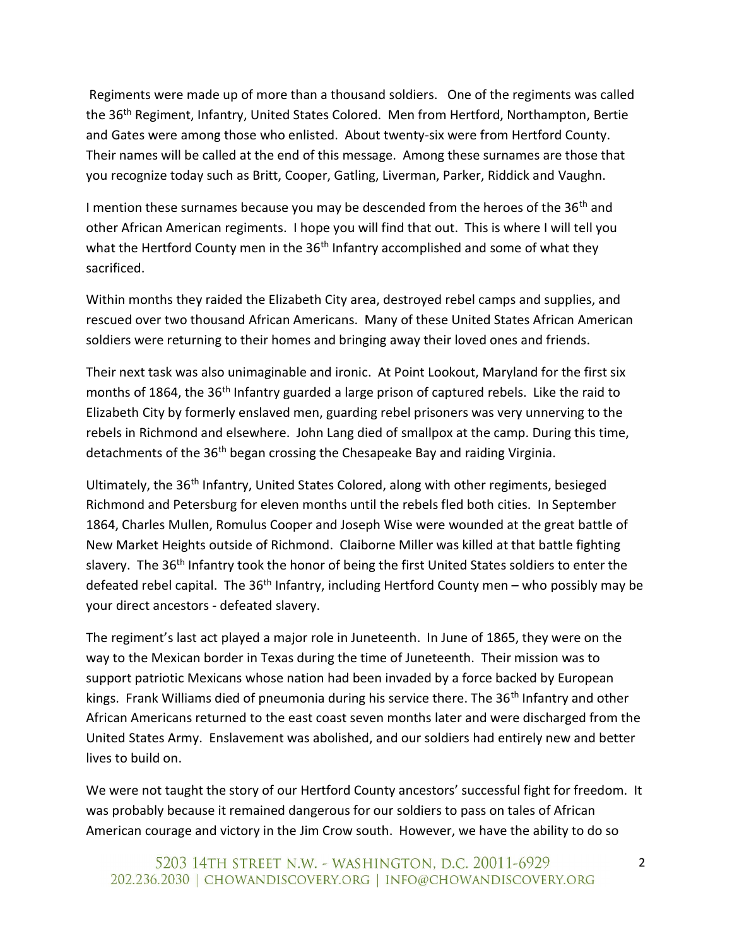Regiments were made up of more than a thousand soldiers. One of the regiments was called the 36th Regiment, Infantry, United States Colored. Men from Hertford, Northampton, Bertie and Gates were among those who enlisted. About twenty-six were from Hertford County. Their names will be called at the end of this message. Among these surnames are those that you recognize today such as Britt, Cooper, Gatling, Liverman, Parker, Riddick and Vaughn.

I mention these surnames because you may be descended from the heroes of the 36<sup>th</sup> and other African American regiments. I hope you will find that out. This is where I will tell you what the Hertford County men in the 36<sup>th</sup> Infantry accomplished and some of what they sacrificed.

Within months they raided the Elizabeth City area, destroyed rebel camps and supplies, and rescued over two thousand African Americans. Many of these United States African American soldiers were returning to their homes and bringing away their loved ones and friends.

Their next task was also unimaginable and ironic. At Point Lookout, Maryland for the first six months of 1864, the 36<sup>th</sup> Infantry guarded a large prison of captured rebels. Like the raid to Elizabeth City by formerly enslaved men, guarding rebel prisoners was very unnerving to the rebels in Richmond and elsewhere. John Lang died of smallpox at the camp. During this time, detachments of the 36<sup>th</sup> began crossing the Chesapeake Bay and raiding Virginia.

Ultimately, the 36th Infantry, United States Colored, along with other regiments, besieged Richmond and Petersburg for eleven months until the rebels fled both cities. In September 1864, Charles Mullen, Romulus Cooper and Joseph Wise were wounded at the great battle of New Market Heights outside of Richmond. Claiborne Miller was killed at that battle fighting slavery. The 36<sup>th</sup> Infantry took the honor of being the first United States soldiers to enter the defeated rebel capital. The  $36<sup>th</sup>$  Infantry, including Hertford County men – who possibly may be your direct ancestors - defeated slavery.

The regiment's last act played a major role in Juneteenth. In June of 1865, they were on the way to the Mexican border in Texas during the time of Juneteenth. Their mission was to support patriotic Mexicans whose nation had been invaded by a force backed by European kings. Frank Williams died of pneumonia during his service there. The 36<sup>th</sup> Infantry and other African Americans returned to the east coast seven months later and were discharged from the United States Army. Enslavement was abolished, and our soldiers had entirely new and better lives to build on.

We were not taught the story of our Hertford County ancestors' successful fight for freedom. It was probably because it remained dangerous for our soldiers to pass on tales of African American courage and victory in the Jim Crow south. However, we have the ability to do so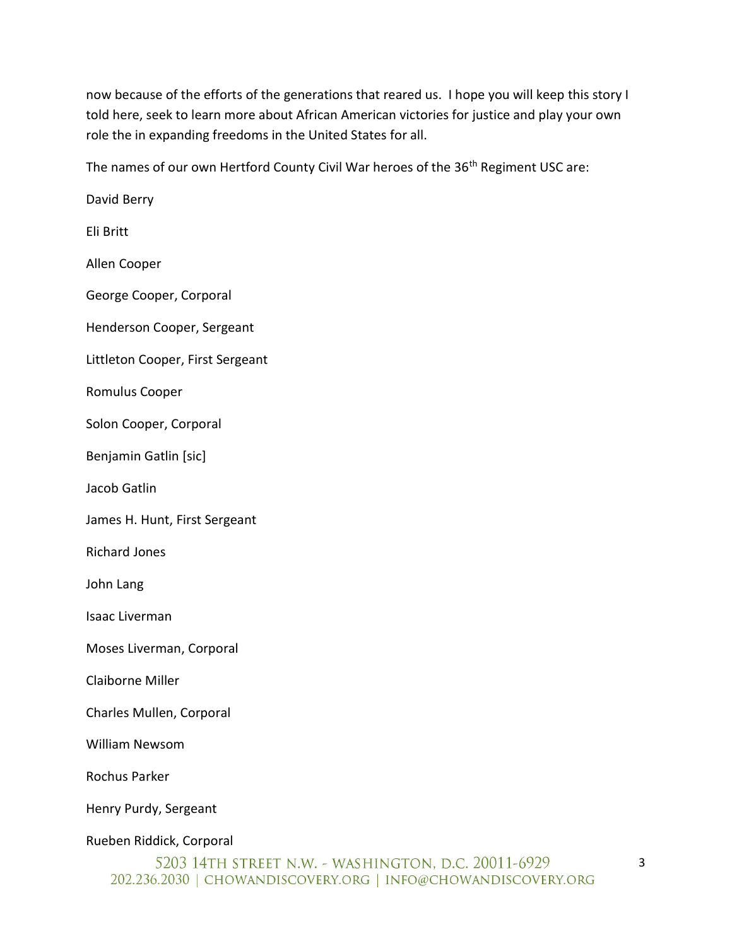now because of the efforts of the generations that reared us. I hope you will keep this story I told here, seek to learn more about African American victories for justice and play your own role the in expanding freedoms in the United States for all.

The names of our own Hertford County Civil War heroes of the 36<sup>th</sup> Regiment USC are:

David Berry Eli Britt Allen Cooper George Cooper, Corporal Henderson Cooper, Sergeant Littleton Cooper, First Sergeant Romulus Cooper Solon Cooper, Corporal Benjamin Gatlin [sic] Jacob Gatlin James H. Hunt, First Sergeant Richard Jones John Lang Isaac Liverman Moses Liverman, Corporal Claiborne Miller Charles Mullen, Corporal William Newsom Rochus Parker Henry Purdy, Sergeant Rueben Riddick, Corporal